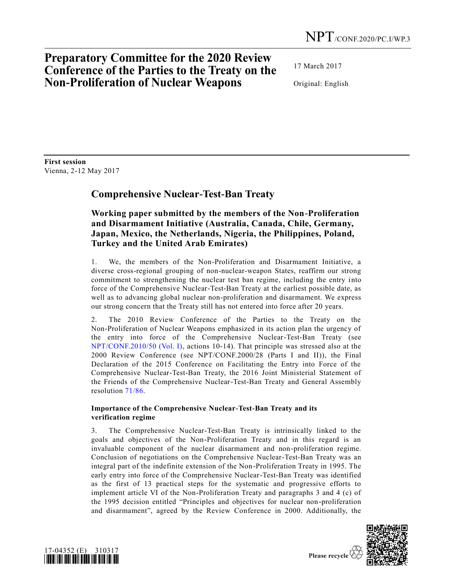# **Preparatory Committee for the 2020 Review Conference of the Parties to the Treaty on the Non-Proliferation of Nuclear Weapons**

17 March 2017

Original: English

**First session** Vienna, 2-12 May 2017

# **Comprehensive Nuclear-Test-Ban Treaty**

## **Working paper submitted by the members of the Non-Proliferation and Disarmament Initiative (Australia, Canada, Chile, Germany, Japan, Mexico, the Netherlands, Nigeria, the Philippines, Poland, Turkey and the United Arab Emirates)**

1. We, the members of the Non-Proliferation and Disarmament Initiative, a diverse cross-regional grouping of non-nuclear-weapon States, reaffirm our strong commitment to strengthening the nuclear test ban regime, including the entry into force of the Comprehensive Nuclear-Test-Ban Treaty at the earliest possible date, as well as to advancing global nuclear non-proliferation and disarmament. We express our strong concern that the Treaty still has not entered into force after 20 years.

2. The 2010 Review Conference of the Parties to the Treaty on the Non-Proliferation of Nuclear Weapons emphasized in its action plan the urgency of the entry into force of the Comprehensive Nuclear-Test-Ban Treaty (see [NPT/CONF.2010/50 \(Vol. I\),](http://undocs.org/NPT/CONF.2010/50(Vol.I)) actions 10-14). That principle was stressed also at the 2000 Review Conference (see NPT/CONF.2000/28 (Parts I and II)), the Final Declaration of the 2015 Conference on Facilitating the Entry into Force of the Comprehensive Nuclear-Test-Ban Treaty, the 2016 Joint Ministerial Statement of the Friends of the Comprehensive Nuclear-Test-Ban Treaty and General Assembly resolution [71/86.](http://undocs.org/A/RES/71/86)

## **Importance of the Comprehensive Nuclear-Test-Ban Treaty and its verification regime**

3. The Comprehensive Nuclear-Test-Ban Treaty is intrinsically linked to the goals and objectives of the Non-Proliferation Treaty and in this regard is an invaluable component of the nuclear disarmament and non-proliferation regime. Conclusion of negotiations on the Comprehensive Nuclear-Test-Ban Treaty was an integral part of the indefinite extension of the Non-Proliferation Treaty in 1995. The early entry into force of the Comprehensive Nuclear-Test-Ban Treaty was identified as the first of 13 practical steps for the systematic and progressive efforts to implement article VI of the Non-Proliferation Treaty and paragraphs 3 and 4 (c) of the 1995 decision entitled "Principles and objectives for nuclear non-proliferation and disarmament", agreed by the Review Conference in 2000. Additionally, the



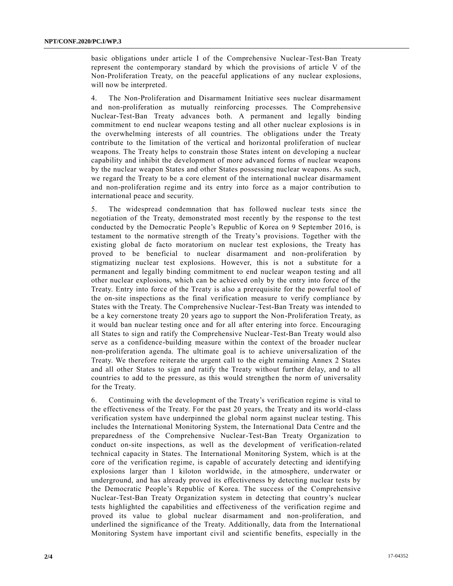basic obligations under article I of the Comprehensive Nuclear-Test-Ban Treaty represent the contemporary standard by which the provisions of article V of the Non-Proliferation Treaty, on the peaceful applications of any nuclear explosions, will now be interpreted.

4. The Non-Proliferation and Disarmament Initiative sees nuclear disarmament and non-proliferation as mutually reinforcing processes. The Comprehensive Nuclear-Test-Ban Treaty advances both. A permanent and legally binding commitment to end nuclear weapons testing and all other nuclear explosions is in the overwhelming interests of all countries. The obligations under the Treaty contribute to the limitation of the vertical and horizontal proliferation of nuclear weapons. The Treaty helps to constrain those States intent on developing a nuclear capability and inhibit the development of more advanced forms of nuclear weapons by the nuclear weapon States and other States possessing nuclear weapons. As such, we regard the Treaty to be a core element of the international nuclear disarmament and non-proliferation regime and its entry into force as a major contribution to international peace and security.

5. The widespread condemnation that has followed nuclear tests since the negotiation of the Treaty, demonstrated most recently by the response to the test conducted by the Democratic People's Republic of Korea on 9 September 2016, is testament to the normative strength of the Treaty's provisions. Together with the existing global de facto moratorium on nuclear test explosions, the Treaty has proved to be beneficial to nuclear disarmament and non-proliferation by stigmatizing nuclear test explosions. However, this is not a substitute for a permanent and legally binding commitment to end nuclear weapon testing and all other nuclear explosions, which can be achieved only by the entry into force of the Treaty. Entry into force of the Treaty is also a prerequisite for the powerful tool of the on-site inspections as the final verification measure to verify compliance by States with the Treaty. The Comprehensive Nuclear-Test-Ban Treaty was intended to be a key cornerstone treaty 20 years ago to support the Non-Proliferation Treaty, as it would ban nuclear testing once and for all after entering into force. Encouraging all States to sign and ratify the Comprehensive Nuclear-Test-Ban Treaty would also serve as a confidence-building measure within the context of the broader nuclear non-proliferation agenda. The ultimate goal is to achieve universalization of the Treaty. We therefore reiterate the urgent call to the eight remaining Annex 2 States and all other States to sign and ratify the Treaty without further delay, and to all countries to add to the pressure, as this would strengthen the norm of universality for the Treaty.

6. Continuing with the development of the Treaty's verification regime is vital to the effectiveness of the Treaty. For the past 20 years, the Treaty and its world -class verification system have underpinned the global norm against nuclear testing. This includes the International Monitoring System, the International Data Centre and the preparedness of the Comprehensive Nuclear-Test-Ban Treaty Organization to conduct on-site inspections, as well as the development of verification-related technical capacity in States. The International Monitoring System, which is at the core of the verification regime, is capable of accurately detecting and identifying explosions larger than 1 kiloton worldwide, in the atmosphere, underwater or underground, and has already proved its effectiveness by detecting nuclear tests by the Democratic People's Republic of Korea. The success of the Comprehensive Nuclear-Test-Ban Treaty Organization system in detecting that country's nuclear tests highlighted the capabilities and effectiveness of the verification regime and proved its value to global nuclear disarmament and non-proliferation, and underlined the significance of the Treaty. Additionally, data from the International Monitoring System have important civil and scientific benefits, especially in the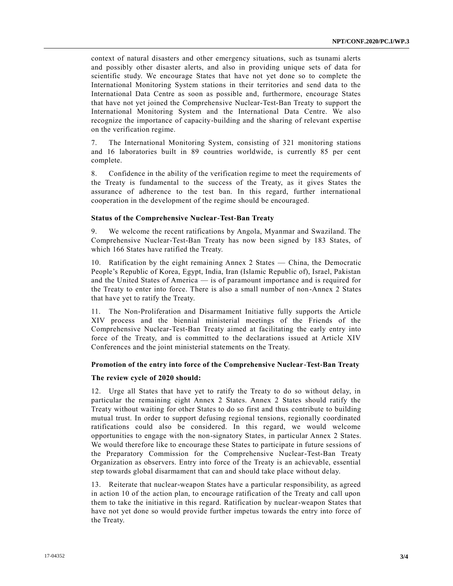context of natural disasters and other emergency situations, such as tsunami alerts and possibly other disaster alerts, and also in providing unique sets of data for scientific study. We encourage States that have not yet done so to complete the International Monitoring System stations in their territories and send data to the International Data Centre as soon as possible and, furthermore, encourage States that have not yet joined the Comprehensive Nuclear-Test-Ban Treaty to support the International Monitoring System and the International Data Centre. We also recognize the importance of capacity-building and the sharing of relevant expertise on the verification regime.

7. The International Monitoring System, consisting of 321 monitoring stations and 16 laboratories built in 89 countries worldwide, is currently 85 per cent complete.

8. Confidence in the ability of the verification regime to meet the requirements of the Treaty is fundamental to the success of the Treaty, as it gives States the assurance of adherence to the test ban. In this regard, further international cooperation in the development of the regime should be encouraged.

### **Status of the Comprehensive Nuclear-Test-Ban Treaty**

9. We welcome the recent ratifications by Angola, Myanmar and Swaziland. The Comprehensive Nuclear-Test-Ban Treaty has now been signed by 183 States, of which 166 States have ratified the Treaty.

10. Ratification by the eight remaining Annex 2 States — China, the Democratic People's Republic of Korea, Egypt, India, Iran (Islamic Republic of), Israel, Pakistan and the United States of America — is of paramount importance and is required for the Treaty to enter into force. There is also a small number of non -Annex 2 States that have yet to ratify the Treaty.

11. The Non-Proliferation and Disarmament Initiative fully supports the Article XIV process and the biennial ministerial meetings of the Friends of the Comprehensive Nuclear-Test-Ban Treaty aimed at facilitating the early entry into force of the Treaty, and is committed to the declarations issued at Article XIV Conferences and the joint ministerial statements on the Treaty.

#### **Promotion of the entry into force of the Comprehensive Nuclear-Test-Ban Treaty**

#### **The review cycle of 2020 should:**

12. Urge all States that have yet to ratify the Treaty to do so without delay, in particular the remaining eight Annex 2 States. Annex 2 States should ratify the Treaty without waiting for other States to do so first and thus contribute to building mutual trust. In order to support defusing regional tensions, regionally coordinated ratifications could also be considered. In this regard, we would welcome opportunities to engage with the non-signatory States, in particular Annex 2 States. We would therefore like to encourage these States to participate in future sessions of the Preparatory Commission for the Comprehensive Nuclear-Test-Ban Treaty Organization as observers. Entry into force of the Treaty is an achievable, essential step towards global disarmament that can and should take place without delay.

13. Reiterate that nuclear-weapon States have a particular responsibility, as agreed in action 10 of the action plan, to encourage ratification of the Treaty and call upon them to take the initiative in this regard. Ratification by nuclear-weapon States that have not yet done so would provide further impetus towards the entry into force of the Treaty.